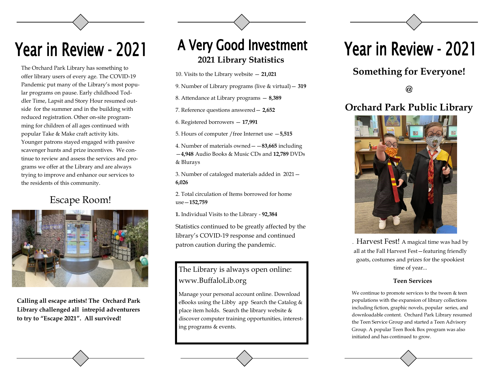## Year in Review - 2021

The Orchard Park Library has something to offer library users of every age. The COVID-19 Pandemic put many of the Library's most popular programs on pause. Early childhood Toddler Time, Lapsit and Story Hour resumed outside for the summer and in the building with reduced registration. Other on-site programming for children of all ages continued with popular Take & Make craft activity kits. Younger patrons stayed engaged with passive scavenger hunts and prize incentives. We continue to review and assess the services and programs we offer at the Library and are always trying to improve and enhance our services to the residents of this community.

### Escape Room!



**Calling all escape artists! The Orchard Park Library challenged all intrepid adventurers to try to "Escape 2021". All survived!** 

## A Very Good Investment **2021 Library Statistics**

10. Visits to the Library website — **21,021**

9. Number of Library programs (live & virtual)— **319**

8. Attendance at Library programs — **8,389**

7. Reference questions answered— **2,652**

6. Registered borrowers — **17,991**

5. Hours of computer /free Internet use —**5,515**

4. Number of materials owned——**83,665** including

—**4,948** Audio Books & Music CDs and **12,789** DVDs & Blurays

3. Number of cataloged materials added in 2021— **6,026**

2. Total circulation of Items borrowed for home use—**152,759**

**1.** Individual Visits to the Library - **92,384**

Statistics continued to be greatly affected by the library's COVID-19 response and continued patron caution during the pandemic.

### The Library is always open online: time of year... www.BuffaloLib.org

Manage your personal account online. Download eBooks using the Libby app Search the Catalog & place item holds. Search the library website & discover computer training opportunities, interesting programs & events.

## Year in Review - 2021

### **Something for Everyone!**

**@** 

### **Orchard Park Public Library**



. Harvest Fest! A magical time was had by all at the Fall Harvest Fest—featuring friendly goats, costumes and prizes for the spookiest

#### **Teen Services**

We continue to promote services to the tween & teen populations with the expansion of library collections including fiction, graphic novels, popular series, and downloadable content. Orchard Park Library resumed the Teen Service Group and started a Teen Advisory Group. A popular Teen Book Box program was also initiated and has continued to grow.